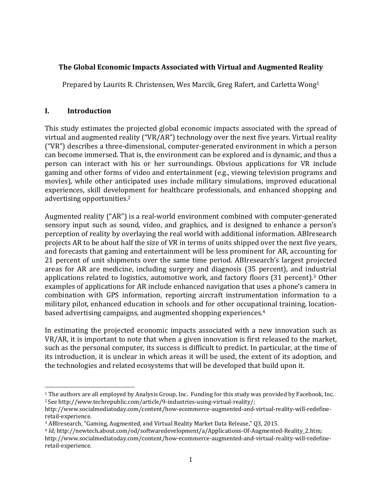# **The Global Economic Impacts Associated with Virtual and Augmented Reality**

Prepared by Laurits R. Christensen, Wes Marcik, Greg Rafert, and Carletta Wong<sup>1</sup>

# **I. Introduction**

This study estimates the projected global economic impacts associated with the spread of virtual and augmented reality  $("VR/AR")$  technology over the next five years. Virtual reality ("VR") describes a three-dimensional, computer-generated environment in which a person can become immersed. That is, the environment can be explored and is dynamic, and thus a person can interact with his or her surroundings. Obvious applications for VR include gaming and other forms of video and entertainment (e.g., viewing television programs and movies), while other anticipated uses include military simulations, improved educational experiences, skill development for healthcare professionals, and enhanced shopping and advertising opportunities.<sup>2</sup>

Augmented reality ("AR") is a real-world environment combined with computer-generated sensory input such as sound, video, and graphics, and is designed to enhance a person's perception of reality by overlaying the real world with additional information. ABIresearch projects AR to be about half the size of VR in terms of units shipped over the next five years, and forecasts that gaming and entertainment will be less prominent for AR, accounting for 21 percent of unit shipments over the same time period. ABIresearch's largest projected areas for AR are medicine, including surgery and diagnosis (35 percent), and industrial applications related to logistics, automotive work, and factory floors  $(31$  percent).<sup>3</sup> Other examples of applications for AR include enhanced navigation that uses a phone's camera in combination with GPS information, reporting aircraft instrumentation information to a military pilot, enhanced education in schools and for other occupational training, locationbased advertising campaigns, and augmented shopping experiences.<sup>4</sup>

In estimating the projected economic impacts associated with a new innovation such as  $VR/AR$ , it is important to note that when a given innovation is first released to the market, such as the personal computer, its success is difficult to predict. In particular, at the time of its introduction, it is unclear in which areas it will be used, the extent of its adoption, and the technologies and related ecosystems that will be developed that build upon it.

<sup>&</sup>lt;sup>1</sup> The authors are all employed by Analysis Group, Inc. Funding for this study was provided by Facebook, Inc. <sup>2</sup>See http://www.techrepublic.com/article/9-industries-using-virtual-reality/;

http://www.socialmediatoday.com/content/how‐ecommerce‐augmented‐and‐virtual‐reality‐will‐redefine‐ retail‐experience. 

<sup>&</sup>lt;sup>3</sup> ABIresearch, "Gaming, Augmented, and Virtual Reality Market Data Release," Q3, 2015.

<sup>4</sup> *Id;* http://newtech.about.com/od/softwaredevelopment/a/Applications‐Of‐Augmented‐Reality\_2.htm; http://www.socialmediatoday.com/content/how‐ecommerce‐augmented‐and‐virtual‐reality‐will‐redefine‐ retail‐experience.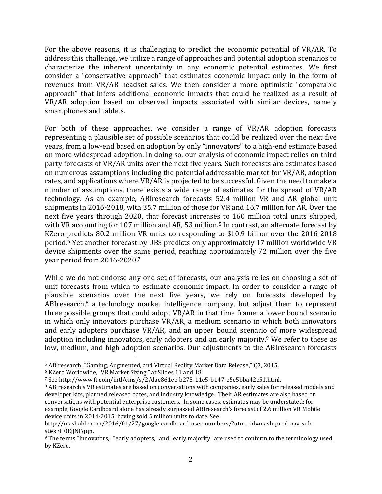For the above reasons, it is challenging to predict the economic potential of  $VR/AR$ . To address this challenge, we utilize a range of approaches and potential adoption scenarios to characterize the inherent uncertainty in any economic potential estimates. We first consider a "conservative approach" that estimates economic impact only in the form of revenues from VR/AR headset sales. We then consider a more optimistic "comparable" approach" that infers additional economic impacts that could be realized as a result of VR/AR adoption based on observed impacts associated with similar devices, namely smartphones and tablets.

For both of these approaches, we consider a range of  $VR/AR$  adoption forecasts representing a plausible set of possible scenarios that could be realized over the next five years, from a low-end based on adoption by only "innovators" to a high-end estimate based on more widespread adoption. In doing so, our analysis of economic impact relies on third party forecasts of VR/AR units over the next five years. Such forecasts are estimates based on numerous assumptions including the potential addressable market for VR/AR, adoption rates, and applications where VR/AR is projected to be successful. Given the need to make a number of assumptions, there exists a wide range of estimates for the spread of VR/AR technology. As an example, ABIresearch forecasts 52.4 million VR and AR global unit shipments in 2016-2018, with 35.7 million of those for VR and 16.7 million for AR. Over the next five years through 2020, that forecast increases to 160 million total units shipped, with VR accounting for 107 million and AR, 53 million.<sup>5</sup> In contrast, an alternate forecast by KZero predicts 80.2 million VR units corresponding to \$10.9 billion over the 2016-2018 period.<sup>6</sup> Yet another forecast by UBS predicts only approximately 17 million worldwide VR device shipments over the same period, reaching approximately 72 million over the five year period from 2016-2020.7

While we do not endorse any one set of forecasts, our analysis relies on choosing a set of unit forecasts from which to estimate economic impact. In order to consider a range of plausible scenarios over the next five years, we rely on forecasts developed by ABIresearch, $8$  a technology market intelligence company, but adjust them to represent three possible groups that could adopt  $VR/AR$  in that time frame: a lower bound scenario in which only innovators purchase VR/AR, a medium scenario in which both innovators and early adopters purchase VR/AR, and an upper bound scenario of more widespread adoption including innovators, early adopters and an early majority.<sup>9</sup> We refer to these as low, medium, and high adoption scenarios. Our adjustments to the ABIresearch forecasts

<sup>&</sup>lt;sup>5</sup> ABIresearch, "Gaming, Augmented, and Virtual Reality Market Data Release," Q3, 2015.

<sup>&</sup>lt;sup>6</sup> KZero Worldwide, "VR Market Sizing," at Slides 11 and 18.

<sup>7</sup> See http://www.ft.com/intl/cms/s/2/dae861ee-b275-11e5-b147-e5e5bba42e51.html.

<sup>&</sup>lt;sup>8</sup> ABIresearch's VR estimates are based on conversations with companies, early sales for released models and developer kits, planned released dates, and industry knowledge. Their AR estimates are also based on conversations with potential enterprise customers. In some cases, estimates may be understated; for example, Google Cardboard alone has already surpassed ABIresearch's forecast of 2.6 million VR Mobile device units in 2014-2015, having sold 5 million units to date. See

http://mashable.com/2016/01/27/google-cardboard-user-numbers/?utm\_cid=mash-prod-nav-subst#sEH0EjJNFqqn.

<sup>&</sup>lt;sup>9</sup> The terms "innovators," "early adopters," and "early majority" are used to conform to the terminology used by KZero.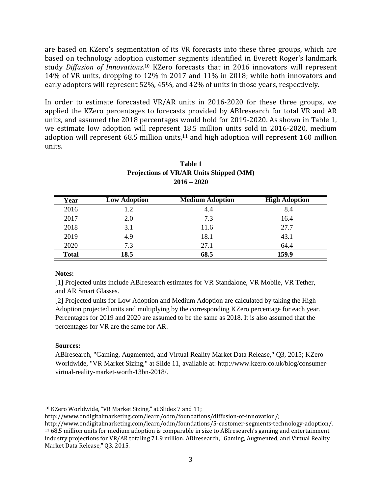are based on KZero's segmentation of its VR forecasts into these three groups, which are based on technology adoption customer segments identified in Everett Roger's landmark study *Diffusion of Innovations*.<sup>10</sup> KZero forecasts that in 2016 innovators will represent 14% of VR units, dropping to 12% in 2017 and 11% in 2018; while both innovators and early adopters will represent 52%, 45%, and 42% of units in those years, respectively.

In order to estimate forecasted  $VR/AR$  units in 2016–2020 for these three groups, we applied the KZero percentages to forecasts provided by ABIresearch for total VR and AR units, and assumed the 2018 percentages would hold for 2019-2020. As shown in Table 1, we estimate low adoption will represent 18.5 million units sold in 2016-2020, medium adoption will represent  $68.5$  million units,<sup>11</sup> and high adoption will represent  $160$  million units. 

| Year         | <b>Low Adoption</b> | <b>Medium Adoption</b> | <b>High Adoption</b> |
|--------------|---------------------|------------------------|----------------------|
| 2016         | 1.2                 | 4.4                    | 8.4                  |
| 2017         | 2.0                 | 7.3                    | 16.4                 |
| 2018         | 3.1                 | 11.6                   | 27.7                 |
| 2019         | 4.9                 | 18.1                   | 43.1                 |
| 2020         | 7.3                 | 27.1                   | 64.4                 |
| <b>Total</b> | 18.5                | 68.5                   | 159.9                |

| Table 1                                 |  |  |  |  |
|-----------------------------------------|--|--|--|--|
| Projections of VR/AR Units Shipped (MM) |  |  |  |  |
| $2016 - 2020$                           |  |  |  |  |

## **Notes:**

[1] Projected units include ABIresearch estimates for VR Standalone, VR Mobile, VR Tether, and AR Smart Glasses.

[2] Projected units for Low Adoption and Medium Adoption are calculated by taking the High Adoption projected units and multiplying by the corresponding KZero percentage for each year. Percentages for 2019 and 2020 are assumed to be the same as 2018. It is also assumed that the percentages for VR are the same for AR.

## **Sources:**

ABIresearch, "Gaming, Augmented, and Virtual Reality Market Data Release," Q3, 2015; KZero Worldwide, "VR Market Sizing," at Slide 11, available at: http://www.kzero.co.uk/blog/consumervirtual-reality-market-worth-13bn-2018/.

  $10$  KZero Worldwide, "VR Market Sizing," at Slides 7 and 11;

http://www.ondigitalmarketing.com/learn/odm/foundations/diffusion-of-innovation/;

http://www.ondigitalmarketing.com/learn/odm/foundations/5‐customer‐segments‐technology‐adoption/.  $11\,68.5$  million units for medium adoption is comparable in size to ABIresearch's gaming and entertainment industry projections for VR/AR totaling 71.9 million. ABIresearch, "Gaming, Augmented, and Virtual Reality Market Data Release," Q3, 2015.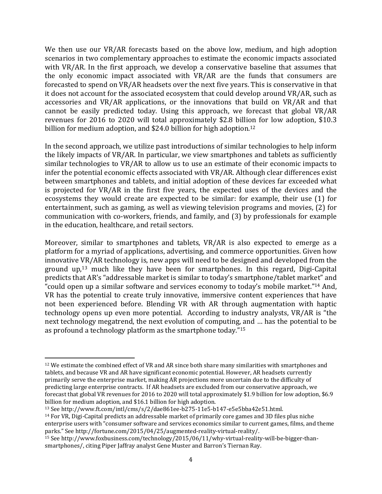We then use our  $VR/AR$  forecasts based on the above low, medium, and high adoption scenarios in two complementary approaches to estimate the economic impacts associated with VR/AR. In the first approach, we develop a conservative baseline that assumes that the only economic impact associated with  $VR/AR$  are the funds that consumers are forecasted to spend on VR/AR headsets over the next five years. This is conservative in that it does not account for the associated ecosystem that could develop around  $VR/AR$ , such as accessories and VR/AR applications, or the innovations that build on VR/AR and that cannot be easily predicted today. Using this approach, we forecast that global VR/AR revenues for 2016 to 2020 will total approximately \$2.8 billion for low adoption, \$10.3 billion for medium adoption, and  $$24.0$  billion for high adoption.<sup>12</sup>

In the second approach, we utilize past introductions of similar technologies to help inform the likely impacts of VR/AR. In particular, we view smartphones and tablets as sufficiently similar technologies to VR/AR to allow us to use an estimate of their economic impacts to infer the potential economic effects associated with VR/AR. Although clear differences exist between smartphones and tablets, and initial adoption of these devices far exceeded what is projected for VR/AR in the first five years, the expected uses of the devices and the ecosystems they would create are expected to be similar: for example, their use  $(1)$  for entertainment, such as gaming, as well as viewing television programs and movies, (2) for communication with co-workers, friends, and family, and (3) by professionals for example in the education, healthcare, and retail sectors.

Moreover, similar to smartphones and tablets, VR/AR is also expected to emerge as a platform for a myriad of applications, advertising, and commerce opportunities. Given how innovative VR/AR technology is, new apps will need to be designed and developed from the ground  $up,13$  much like they have been for smartphones. In this regard, Digi-Capital predicts that AR's "addressable market is similar to today's smartphone/tablet market" and "could open up a similar software and services economy to today's mobile market."<sup>14</sup> And, VR has the potential to create truly innovative, immersive content experiences that have not been experienced before. Blending VR with AR through augmentation with haptic technology opens up even more potential. According to industry analysts, VR/AR is "the next technology megatrend, the next evolution of computing, and ... has the potential to be as profound a technology platform as the smartphone today." $15$ 

<sup>&</sup>lt;sup>12</sup> We estimate the combined effect of VR and AR since both share many similarities with smartphones and tablets, and because VR and AR have significant economic potential. However, AR headsets currently primarily serve the enterprise market, making AR projections more uncertain due to the difficulty of predicting large enterprise contracts. If AR headsets are excluded from our conservative approach, we forecast that global VR revenues for 2016 to 2020 will total approximately \$1.9 billion for low adoption, \$6.9 billion for medium adoption, and \$16.1 billion for high adoption.

<sup>13</sup> See http://www.ft.com/intl/cms/s/2/dae861ee-b275-11e5-b147-e5e5bba42e51.html.  $14$  For VR, Digi-Capital predicts an addressable market of primarily core games and 3D files plus niche enterprise users with "consumer software and services economics similar to current games, films, and theme parks." See http://fortune.com/2015/04/25/augmented-reality-virtual-reality/.

<sup>&</sup>lt;sup>15</sup> See http://www.foxbusiness.com/technology/2015/06/11/why-virtual-reality-will-be-bigger-thansmartphones/, citing Piper Jaffray analyst Gene Muster and Barron's Tiernan Ray.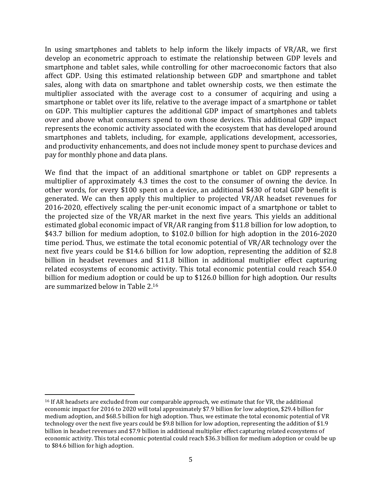In using smartphones and tablets to help inform the likely impacts of  $VR/AR$ , we first develop an econometric approach to estimate the relationship between GDP levels and smartphone and tablet sales, while controlling for other macroeconomic factors that also affect GDP. Using this estimated relationship between GDP and smartphone and tablet sales, along with data on smartphone and tablet ownership costs, we then estimate the multiplier associated with the average cost to a consumer of acquiring and using a smartphone or tablet over its life, relative to the average impact of a smartphone or tablet on GDP. This multiplier captures the additional GDP impact of smartphones and tablets over and above what consumers spend to own those devices. This additional GDP impact represents the economic activity associated with the ecosystem that has developed around smartphones and tablets, including, for example, applications development, accessories, and productivity enhancements, and does not include money spent to purchase devices and pay for monthly phone and data plans.

We find that the impact of an additional smartphone or tablet on GDP represents a multiplier of approximately 4.3 times the cost to the consumer of owning the device. In other words, for every \$100 spent on a device, an additional \$430 of total GDP benefit is generated. We can then apply this multiplier to projected VR/AR headset revenues for 2016-2020, effectively scaling the per-unit economic impact of a smartphone or tablet to the projected size of the VR/AR market in the next five years. This yields an additional estimated global economic impact of VR/AR ranging from \$11.8 billion for low adoption, to \$43.7 billion for medium adoption, to \$102.0 billion for high adoption in the 2016-2020 time period. Thus, we estimate the total economic potential of VR/AR technology over the next five years could be \$14.6 billion for low adoption, representing the addition of \$2.8 billion in headset revenues and \$11.8 billion in additional multiplier effect capturing related ecosystems of economic activity. This total economic potential could reach \$54.0 billion for medium adoption or could be up to \$126.0 billion for high adoption. Our results are summarized below in Table 2.16

<sup>&</sup>lt;sup>16</sup> If AR headsets are excluded from our comparable approach, we estimate that for VR, the additional economic impact for 2016 to 2020 will total approximately \$7.9 billion for low adoption, \$29.4 billion for medium adoption, and \$68.5 billion for high adoption. Thus, we estimate the total economic potential of VR technology over the next five years could be \$9.8 billion for low adoption, representing the addition of \$1.9 billion in headset revenues and \$7.9 billion in additional multiplier effect capturing related ecosystems of economic activity. This total economic potential could reach \$36.3 billion for medium adoption or could be up to \$84.6 billion for high adoption.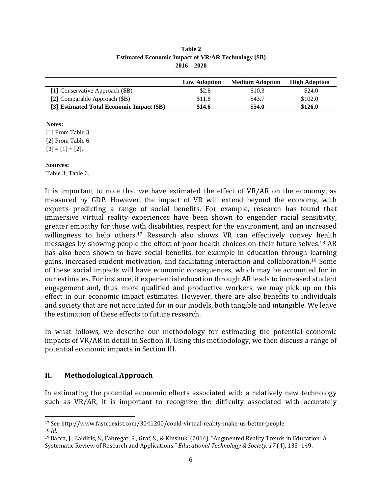|                                           | <b>Low Adoption</b> | <b>Medium Adoption</b> | <b>High Adoption</b> |
|-------------------------------------------|---------------------|------------------------|----------------------|
| [1] Conservative Approach (\$B)           | \$2.8               | \$10.3                 | \$24.0               |
| [2] Comparable Approach (\$B)             | \$11.8              | \$43.7                 | \$102.0              |
| [3] Estimated Total Economic Impact (\$B) | \$14.6              | \$54.0                 | \$126.0              |

**Table 2 Estimated Economic Impact of VR/AR Technology (\$B) 2016 – 2020**

### **Notes:**

[1] From Table 3. [2] From Table 6.  $[3] = [1] + [2]$ .

### **Sources:**

Table 3; Table 6.

It is important to note that we have estimated the effect of  $VR/AR$  on the economy, as measured by GDP. However, the impact of VR will extend beyond the economy, with experts predicting a range of social benefits. For example, research has found that immersive virtual reality experiences have been shown to engender racial sensitivity, greater empathy for those with disabilities, respect for the environment, and an increased willingness to help others.<sup>17</sup> Research also shows VR can effectively convey health messages by showing people the effect of poor health choices on their future selves.<sup>18</sup> AR has also been shown to have social benefits, for example in education through learning gains, increased student motivation, and facilitating interaction and collaboration.<sup>19</sup> Some of these social impacts will have economic consequences, which may be accounted for in our estimates. For instance, if experiential education through AR leads to increased student engagement and, thus, more qualified and productive workers, we may pick up on this effect in our economic impact estimates. However, there are also benefits to individuals and society that are not accounted for in our models, both tangible and intangible. We leave the estimation of these effects to future research.

In what follows, we describe our methodology for estimating the potential economic impacts of VR/AR in detail in Section II. Using this methodology, we then discuss a range of potential economic impacts in Section III.

## **II. Methodological Approach**

In estimating the potential economic effects associated with a relatively new technology such as VR/AR, it is important to recognize the difficulty associated with accurately

 <sup>17</sup> See http://www.fastcoexist.com/3041200/could-virtual-reality-make-us-better-people.

<sup>18</sup> *Id.*

<sup>&</sup>lt;sup>19</sup> Bacca, I., Baldiris, S., Fabregat, R., Graf, S., & Kinshuk. (2014). "Augmented Reality Trends in Education: A Systematic Review of Research and Applications." *Educational Technology & Society*, *17* (4), 133–149.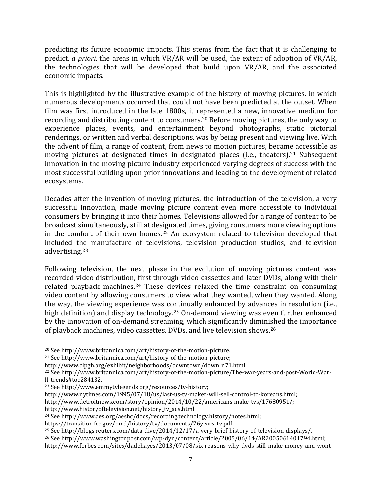predicting its future economic impacts. This stems from the fact that it is challenging to predict, *a priori*, the areas in which VR/AR will be used, the extent of adoption of VR/AR, the technologies that will be developed that build upon VR/AR, and the associated economic impacts.

This is highlighted by the illustrative example of the history of moving pictures, in which numerous developments occurred that could not have been predicted at the outset. When film was first introduced in the late 1800s, it represented a new, innovative medium for recording and distributing content to consumers.<sup>20</sup> Before moving pictures, the only way to experience places, events, and entertainment beyond photographs, static pictorial renderings, or written and verbal descriptions, was by being present and viewing live. With the advent of film, a range of content, from news to motion pictures, became accessible as moving pictures at designated times in designated places (i.e., theaters).<sup>21</sup> Subsequent innovation in the moving picture industry experienced varying degrees of success with the most successful building upon prior innovations and leading to the development of related ecosystems. 

Decades after the invention of moving pictures, the introduction of the television, a very successful innovation, made moving picture content even more accessible to individual consumers by bringing it into their homes. Televisions allowed for a range of content to be broadcast simultaneously, still at designated times, giving consumers more viewing options in the comfort of their own homes.<sup>22</sup> An ecosystem related to television developed that included the manufacture of televisions, television production studios, and television advertising.23

Following television, the next phase in the evolution of moving pictures content was recorded video distribution, first through video cassettes and later DVDs, along with their related playback machines.<sup>24</sup> These devices relaxed the time constraint on consuming video content by allowing consumers to view what they wanted, when they wanted. Along the way, the viewing experience was continually enhanced by advances in resolution (i.e., high definition) and display technology.<sup>25</sup> On-demand viewing was even further enhanced by the innovation of on-demand streaming, which significantly diminished the importance of playback machines, video cassettes, DVDs, and live television shows.<sup>26</sup>

<sup>&</sup>lt;sup>20</sup> See http://www.britannica.com/art/history-of-the-motion-picture.

<sup>&</sup>lt;sup>21</sup> See http://www.britannica.com/art/history-of-the-motion-picture;

http://www.clpgh.org/exhibit/neighborhoods/downtown/down\_n71.html. 

<sup>&</sup>lt;sup>22</sup> See http://www.britannica.com/art/history‐of‐the‐motion‐picture/The‐war‐years‐and‐post‐World‐War‐ II‐trends#toc284132. 

<sup>&</sup>lt;sup>23</sup> See http://www.emmytvlegends.org/resources/tv-history;

http://www.nytimes.com/1995/07/18/us/last-us-tv-maker-will-sell-control-to-koreans.html;

http://www.detroitnews.com/story/opinion/2014/10/22/americans-make-tvs/17680951/;

http://www.historyoftelevision.net/history\_tv\_ads.html. 

<sup>&</sup>lt;sup>24</sup> See http://www.aes.org/aeshc/docs/recording.technology.history/notes.html;

https://transition.fcc.gov/omd/history/tv/documents/76years\_tv.pdf. 

<sup>&</sup>lt;sup>25</sup> See http://blogs.reuters.com/data-dive/2014/12/17/a-very-brief-history-of-television-displays/.

 $^{26}$  See http://www.washingtonpost.com/wp-dyn/content/article/2005/06/14/AR2005061401794.html;

http://www.forbes.com/sites/dadehayes/2013/07/08/six-reasons-why-dvds-still-make-money-and-wont-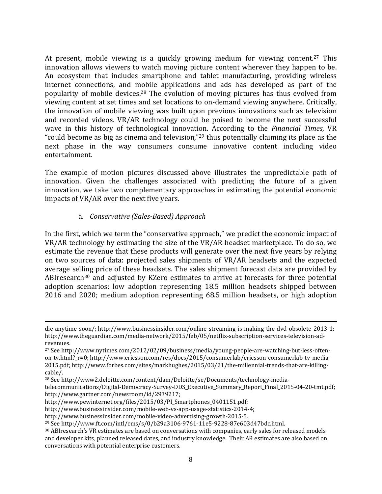At present, mobile viewing is a quickly growing medium for viewing content.<sup>27</sup> This innovation allows viewers to watch moving picture content wherever they happen to be. An ecosystem that includes smartphone and tablet manufacturing, providing wireless internet connections, and mobile applications and ads has developed as part of the popularity of mobile devices.<sup>28</sup> The evolution of moving pictures has thus evolved from viewing content at set times and set locations to on-demand viewing anywhere. Critically, the innovation of mobile viewing was built upon previous innovations such as television and recorded videos.  $VR/AR$  technology could be poised to become the next successful wave in this history of technological innovation. According to the *Financial Times*, VR "could become as big as cinema and television," $^{29}$  thus potentially claiming its place as the next phase in the way consumers consume innovative content including video entertainment. 

The example of motion pictures discussed above illustrates the unpredictable path of innovation. Given the challenges associated with predicting the future of a given innovation, we take two complementary approaches in estimating the potential economic impacts of VR/AR over the next five years.

# a. *Conservative (Sales‐Based) Approach*

In the first, which we term the "conservative approach," we predict the economic impact of VR/AR technology by estimating the size of the VR/AR headset marketplace. To do so, we estimate the revenue that these products will generate over the next five years by relying on two sources of data: projected sales shipments of VR/AR headsets and the expected average selling price of these headsets. The sales shipment forecast data are provided by ABIresearch<sup>30</sup> and adjusted by KZero estimates to arrive at forecasts for three potential adoption scenarios: low adoption representing 18.5 million headsets shipped between 2016 and 2020; medium adoption representing 68.5 million headsets, or high adoption

<u> 1989 - Johann Stoff, fransk politik (d. 1989)</u>

die‐anytime‐soon/; http://www.businessinsider.com/online‐streaming‐is‐making‐the‐dvd‐obsolete‐2013‐1; http://www.theguardian.com/media-network/2015/feb/05/netflix-subscription-services-television-adrevenues. 

<sup>&</sup>lt;sup>27</sup> See http://www.nytimes.com/2012/02/09/business/media/young-people-are-watching-but-less-oftenon-tv.html? r=0; http://www.ericsson.com/res/docs/2015/consumerlab/ericsson-consumerlab-tv-media-2015.pdf; http://www.forbes.com/sites/markhughes/2015/03/21/the-millennial-trends-that-are-killingcable/. 

<sup>&</sup>lt;sup>28</sup> See http://www2.deloitte.com/content/dam/Deloitte/se/Documents/technology-media-

telecommunications/Digital‐Democracy‐Survey‐DDS\_Executive\_Summary\_Report\_Final\_2015‐04‐20‐tmt.pdf; http://www.gartner.com/newsroom/id/2939217; 

http://www.pewinternet.org/files/2015/03/PI\_Smartphones\_0401151.pdf; 

http://www.businessinsider.com/mobile‐web‐vs‐app‐usage‐statistics‐2014‐4; 

http://www.businessinsider.com/mobile‐video‐advertising‐growth‐2015‐5. 

<sup>&</sup>lt;sup>29</sup> See http://www.ft.com/intl/cms/s/0/b29a3106-9761-11e5-9228-87e603d47bdc.html.

<sup>&</sup>lt;sup>30</sup> ABIresearch's VR estimates are based on conversations with companies, early sales for released models and developer kits, planned released dates, and industry knowledge. Their AR estimates are also based on conversations with potential enterprise customers.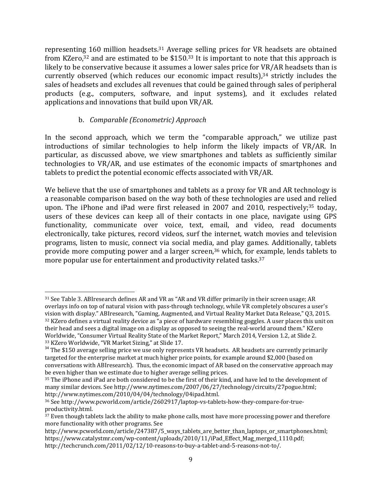representing 160 million headsets.<sup>31</sup> Average selling prices for VR headsets are obtained from KZero,<sup>32</sup> and are estimated to be \$150.<sup>33</sup> It is important to note that this approach is likely to be conservative because it assumes a lower sales price for VR/AR headsets than is currently observed (which reduces our economic impact results), $34$  strictly includes the sales of headsets and excludes all revenues that could be gained through sales of peripheral products (e.g., computers, software, and input systems), and it excludes related applications and innovations that build upon VR/AR.

# b. *Comparable (Econometric) Approach*

In the second approach, which we term the "comparable approach," we utilize past introductions of similar technologies to help inform the likely impacts of VR/AR. In particular, as discussed above, we view smartphones and tablets as sufficiently similar technologies to VR/AR, and use estimates of the economic impacts of smartphones and tablets to predict the potential economic effects associated with VR/AR.

We believe that the use of smartphones and tablets as a proxy for VR and AR technology is a reasonable comparison based on the way both of these technologies are used and relied upon. The iPhone and iPad were first released in 2007 and 2010, respectively;<sup>35</sup> today, users of these devices can keep all of their contacts in one place, navigate using GPS functionality, communicate over voice, text, email, and video, read documents electronically, take pictures, record videos, surf the internet, watch movies and television programs, listen to music, connect via social media, and play games. Additionally, tablets provide more computing power and a larger screen, $36$  which, for example, lends tablets to more popular use for entertainment and productivity related tasks. $37$ 

 <sup>31</sup> See Table 3. ABIresearch defines AR and VR as "AR and VR differ primarily in their screen usage; AR overlays info on top of natural vision with pass-through technology, while VR completely obscures a user's vision with display." ABIresearch, "Gaming, Augmented, and Virtual Reality Market Data Release," Q3, 2015. <sup>32</sup> KZero defines a virtual reality device as "a piece of hardware resembling goggles. A user places this unit on their head and sees a digital image on a display as opposed to seeing the real-world around them." KZero Worldwide, "Consumer Virtual Reality State of the Market Report," March 2014, Version 1.2, at Slide 2.  $33$  KZero Worldwide, "VR Market Sizing," at Slide 17.<br> $34$  The \$150 average selling price we use only represents VR headsets. AR headsets are currently primarily

targeted for the enterprise market at much higher price points, for example around \$2,000 (based on conversations with ABIresearch). Thus, the economic impact of AR based on the conservative approach may be even higher than we estimate due to higher average selling prices.

<sup>35</sup> The iPhone and iPad are both considered to be the first of their kind, and have led to the development of many similar devices. See http://www.nytimes.com/2007/06/27/technology/circuits/27pogue.html; http://www.nytimes.com/2010/04/04/technology/04ipad.html. 

<sup>&</sup>lt;sup>36</sup> See http://www.pcworld.com/article/2602917/laptop-vs-tablets-how-they-compare-for-trueproductivity.html. 

 $37$  Even though tablets lack the ability to make phone calls, most have more processing power and therefore more functionality with other programs. See

http://www.pcworld.com/article/247387/5\_ways\_tablets\_are\_better\_than\_laptops\_or\_smartphones.html; https://www.catalystmr.com/wp-content/uploads/2010/11/iPad Effect Mag merged 1110.pdf; http://techcrunch.com/2011/02/12/10-reasons-to-buy-a-tablet-and-5-reasons-not-to/.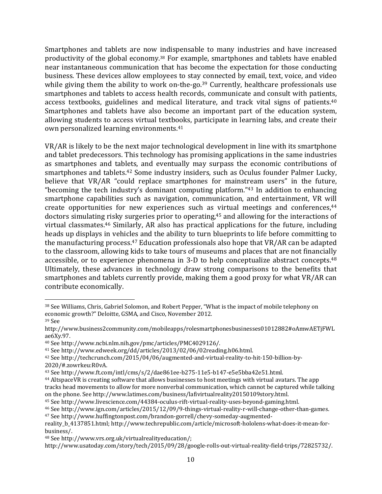Smartphones and tablets are now indispensable to many industries and have increased productivity of the global economy.<sup>38</sup> For example, smartphones and tablets have enabled near instantaneous communication that has become the expectation for those conducting business. These devices allow employees to stay connected by email, text, voice, and video while giving them the ability to work on-the-go.<sup>39</sup> Currently, healthcare professionals use smartphones and tablets to access health records, communicate and consult with patients, access textbooks, guidelines and medical literature, and track vital signs of patients.<sup>40</sup> Smartphones and tablets have also become an important part of the education system, allowing students to access virtual textbooks, participate in learning labs, and create their own personalized learning environments.<sup>41</sup>

VR/AR is likely to be the next major technological development in line with its smartphone and tablet predecessors. This technology has promising applications in the same industries as smartphones and tablets, and eventually may surpass the economic contributions of smartphones and tablets.<sup>42</sup> Some industry insiders, such as Oculus founder Palmer Lucky, believe that VR/AR "could replace smartphones for mainstream users" in the future, "becoming the tech industry's dominant computing platform."<sup>43</sup> In addition to enhancing smartphone capabilities such as navigation, communication, and entertainment, VR will create opportunities for new experiences such as virtual meetings and conferences, $44$ doctors simulating risky surgeries prior to operating,<sup>45</sup> and allowing for the interactions of virtual classmates.<sup>46</sup> Similarly, AR also has practical applications for the future, including heads up displays in vehicles and the ability to turn blueprints to life before committing to the manufacturing process.<sup>47</sup> Education professionals also hope that VR/AR can be adapted to the classroom, allowing kids to take tours of museums and places that are not financially accessible, or to experience phenomena in 3-D to help conceptualize abstract concepts.<sup>48</sup> Ultimately, these advances in technology draw strong comparisons to the benefits that smartphones and tablets currently provide, making them a good proxy for what VR/AR can contribute economically.

<sup>44</sup> AltspaceVR is creating software that allows businesses to host meetings with virtual avatars. The app tracks head movements to allow for more nonverbal communication, which cannot be captured while talking on the phone. See http://www.latimes.com/business/lafivirtualreality20150109story.html.

<sup>38</sup> See Williams, Chris, Gabriel Solomon, and Robert Pepper, "What is the impact of mobile telephony on economic growth?" Deloitte, GSMA, and Cisco, November 2012. 39 See 

http://www.business2community.com/mobileapps/rolesmartphonesbusinesses01012882#oAmwAETjFWL ae6Xy.97. 

<sup>40</sup> See http://www.ncbi.nlm.nih.gov/pmc/articles/PMC4029126/. 

<sup>&</sup>lt;sup>41</sup> See http://www.edweek.org/dd/articles/2013/02/06/02reading.h06.html.

<sup>42</sup> See http://techcrunch.com/2015/04/06/augmented-and-virtual-reality-to-hit-150-billion-by-2020/#.zowrkeu:R0vA. 

<sup>43</sup> See http://www.ft.com/intl/cms/s/2/dae861ee-b275-11e5-b147-e5e5bba42e51.html.

<sup>45</sup> See http://www.livescience.com/44384-oculus-rift-virtual-reality-uses-beyond-gaming.html.

<sup>&</sup>lt;sup>46</sup> See http://www.ign.com/articles/2015/12/09/9‐things‐virtual‐reality‐r‐will‐change‐other‐than‐games. <sup>47</sup> See http://www.huffingtonpost.com/brandon-gorrell/chevy-someday-augmented-

reality\_b\_4137851.html; http://www.techrepublic.com/article/microsoft-hololens-what-does-it-mean-forbusiness/. 

<sup>48</sup> See http://www.vrs.org.uk/virtualrealityeducation/; 

http://www.usatoday.com/story/tech/2015/09/28/google‐rolls‐out‐virtual‐reality‐field‐trips/72825732/.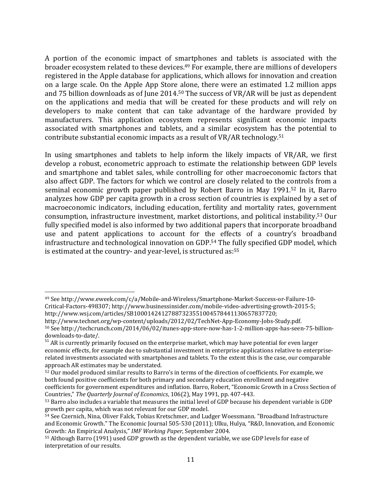A portion of the economic impact of smartphones and tablets is associated with the broader ecosystem related to these devices.<sup>49</sup> For example, there are millions of developers registered in the Apple database for applications, which allows for innovation and creation on a large scale. On the Apple App Store alone, there were an estimated 1.2 million apps and 75 billion downloads as of June  $2014.50$  The success of VR/AR will be just as dependent on the applications and media that will be created for these products and will rely on developers to make content that can take advantage of the hardware provided by manufacturers. This application ecosystem represents significant economic impacts associated with smartphones and tablets, and a similar ecosystem has the potential to contribute substantial economic impacts as a result of VR/AR technology.<sup>51</sup>

In using smartphones and tablets to help inform the likely impacts of VR/AR, we first develop a robust, econometric approach to estimate the relationship between GDP levels and smartphone and tablet sales, while controlling for other macroeconomic factors that also affect GDP. The factors for which we control are closely related to the controls from a seminal economic growth paper published by Robert Barro in May 1991.<sup>52</sup> In it, Barro analyzes how GDP per capita growth in a cross section of countries is explained by a set of macroeconomic indicators, including education, fertility and mortality rates, government consumption, infrastructure investment, market distortions, and political instability.<sup>53</sup> Our fully specified model is also informed by two additional papers that incorporate broadband use and patent applications to account for the effects of a country's broadband infrastructure and technological innovation on GDP.<sup>54</sup> The fully specified GDP model, which is estimated at the country- and year-level, is structured as: $55$ 

<sup>49</sup> See http://www.eweek.com/c/a/Mobile-and-Wireless/Smartphone-Market-Success-or-Failure-10-Critical‐Factors‐498307; http://www.businessinsider.com/mobile‐video‐advertising‐growth‐2015‐5; http://www.wsj.com/articles/SB10001424127887323551004578441130657837720; 

http://www.technet.org/wp‐content/uploads/2012/02/TechNet‐App‐Economy‐Jobs‐Study.pdf. 50 See http://techcrunch.com/2014/06/02/itunes-app-store-now-has-1-2-million-apps-has-seen-75-billiondownloads‐to‐date/. 

 $51$  AR is currently primarily focused on the enterprise market, which may have potential for even larger economic effects, for example due to substantial investment in enterprise applications relative to enterpriserelated investments associated with smartphones and tablets. To the extent this is the case, our comparable approach AR estimates may be understated.

<sup>52</sup> Our model produced similar results to Barro's in terms of the direction of coefficients. For example, we both found positive coefficients for both primary and secondary education enrollment and negative coefficients for government expenditures and inflation. Barro, Robert, "Economic Growth in a Cross Section of Countries," *The Quarterly Journal of Economics*, 106(2), May 1991, pp. 407‐443. 

<sup>53</sup> Barro also includes a variable that measures the initial level of GDP because his dependent variable is GDP growth per capita, which was not relevant for our GDP model.

 $\frac{54}{54}$  See Czernich, Nina, Oliver Falck, Tobias Kretschmer, and Ludger Woessmann. "Broadband Infrastructure and Economic Growth." The Economic Journal 505-530 (2011); Ulku, Hulya, "R&D, Innovation, and Economic Growth: An Empirical Analysis," *IMF Working Paper*, September 2004.

<sup>55</sup> Although Barro (1991) used GDP growth as the dependent variable, we use GDP levels for ease of interpretation of our results.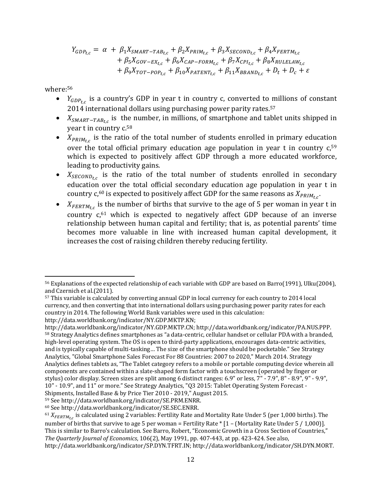$$
Y_{GDP_{t,c}} = \alpha + \beta_1 X_{SMART-TAB_{t,c}} + \beta_2 X_{PRIM_{t,c}} + \beta_3 X_{SECOND_{t,c}} + \beta_4 X_{FERTM_{t,c}} + \beta_5 X_{GOV-EX_{t,c}} + \beta_6 X_{CAP-FORM_{t,c}} + \beta_7 X_{CPI_{t,c}} + \beta_8 X_{RULELAW_{t,c}} + \beta_9 X_{TOT-POP_{t,c}} + \beta_{10} X_{PATENT_{t,c}} + \beta_{11} X_{BBAND_{t,c}} + D_t + D_c + \varepsilon
$$

where:56

- $Y_{GDP_{tc}}$  is a country's GDP in year t in country c, converted to millions of constant  $2014$  international dollars using purchasing power parity rates.<sup>57</sup>
- $X_{SMART-TAB_{t,c}}$  is the number, in millions, of smartphone and tablet units shipped in year  $t$  in country  $c$ .<sup>58</sup>
- $X_{PRIM_{tc}}$  is the ratio of the total number of students enrolled in primary education over the total official primary education age population in year  $t$  in country  $c$ ,<sup>59</sup> which is expected to positively affect GDP through a more educated workforce, leading to productivity gains.
- $X_{SECOND_{tc}}$  is the ratio of the total number of students enrolled in secondary education over the total official secondary education age population in year t in country  $c$ ,<sup>60</sup> is expected to positively affect GDP for the same reasons as  $X_{PRIM_{tc}}$ .
- $X_{FERTM_{tc}}$  is the number of births that survive to the age of 5 per woman in year t in country  $c$ ,<sup>61</sup> which is expected to negatively affect GDP because of an inverse relationship between human capital and fertility; that is, as potential parents' time becomes more valuable in line with increased human capital development, it increases the cost of raising children thereby reducing fertility.

http://data.worldbank.org/indicator/NY.GDP.MKTP.KN; 

 <sup>56</sup> Explanations of the expected relationship of each variable with GDP are based on Barro(1991), Ulku(2004), and Czernich et al.(2011).

<sup>57</sup> This variable is calculated by converting annual GDP in local currency for each country to 2014 local currency, and then converting that into international dollars using purchasing power parity rates for each country in 2014. The following World Bank variables were used in this calculation:

http://data.worldbank.org/indicator/NY.GDP.MKTP.CN; http://data.worldbank.org/indicator/PA.NUS.PPP. 58 Strategy Analytics defines smartphones as "a data-centric, cellular handset or cellular PDA with a branded, high-level operating system. The OS is open to third-party applications, encourages data-centric activities, and is typically capable of multi-tasking... The size of the smartphone should be pocketable." See Strategy Analytics, "Global Smartphone Sales Forecast For 88 Countries: 2007 to 2020," March 2014. Strategy Analytics defines tablets as, "The Tablet category refers to a mobile or portable computing device wherein all components are contained within a slate-shaped form factor with a touchscreen (operated by finger or stylus) color display. Screen sizes are split among 6 distinct ranges: 6.9" or less, 7" - 7.9", 8" - 8.9", 9" - 9.9", 10" - 10.9", and 11" or more." See Strategy Analytics, "Q3 2015: Tablet Operating System Forecast -Shipments, Installed Base & by Price Tier 2010 - 2019," August 2015.

<sup>59</sup> See http://data.worldbank.org/indicator/SE.PRM.ENRR.

<sup>60</sup> See http://data.worldbank.org/indicator/SE.SEC.ENRR. 

 $^{61}X_{FERTM_{t,c}}$  is calculated using 2 variables: Fertility Rate and Mortality Rate Under 5 (per 1,000 births). The number of births that survive to age 5 per woman = Fertility Rate  $*$  [1 – (Mortality Rate Under 5 / 1,000)]. This is similar to Barro's calculation. See Barro, Robert, "Economic Growth in a Cross Section of Countries," *The Quarterly <i>Journal of Economics*, 106(2), May 1991, pp. 407-443, at pp. 423-424. See also, http://data.worldbank.org/indicator/SP.DYN.TFRT.IN; http://data.worldbank.org/indicator/SH.DYN.MORT.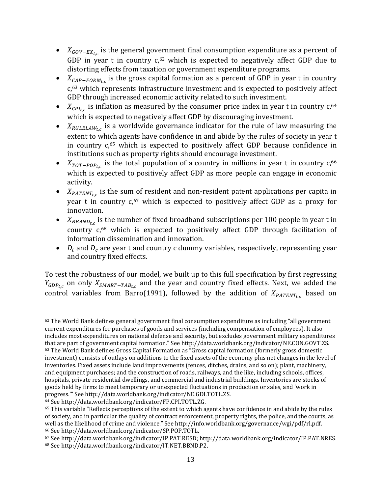- $X_{GOV-EX_{t,c}}$  is the general government final consumption expenditure as a percent of GDP in year t in country  $c$ ,<sup>62</sup> which is expected to negatively affect GDP due to distorting effects from taxation or government expenditure programs.
- $X_{CAP-FORM_{t,c}}$  is the gross capital formation as a percent of GDP in year t in country  $c$ ,<sup>63</sup> which represents infrastructure investment and is expected to positively affect GDP through increased economic activity related to such investment.
- $X_{\text{CPI}_{\text{t.c}}}$  is inflation as measured by the consumer price index in year t in country  $c$ ,<sup>64</sup> which is expected to negatively affect GDP by discouraging investment.
- $X_{RULELAW_{tc}}$  is a worldwide governance indicator for the rule of law measuring the extent to which agents have confidence in and abide by the rules of society in year t in country  $c<sub>0</sub>$ <sup>65</sup> which is expected to positively affect GDP because confidence in institutions such as property rights should encourage investment.
- $X_{TOT-POP_{t,c}}$  is the total population of a country in millions in year t in country  $c$ ,<sup>66</sup> which is expected to positively affect GDP as more people can engage in economic activity.
- $X_{PATENT_{t,c}}$  is the sum of resident and non-resident patent applications per capita in year t in country  $c,67$  which is expected to positively affect GDP as a proxy for innovation.
- $X_{BBAND_{t,c}}$  is the number of fixed broadband subscriptions per 100 people in year t in country  $c<sub>0.68</sub>$  which is expected to positively affect GDP through facilitation of information dissemination and innovation.
- $D_t$  and  $D_c$  are year t and country c dummy variables, respectively, representing year and country fixed effects.

To test the robustness of our model, we built up to this full specification by first regressing  $Y_{GDP_{t,c}}$  on only  $X_{SMAPT-TAB_{t,c}}$  and the year and country fixed effects. Next, we added the control variables from Barro(1991), followed by the addition of  $X_{PATENT_{tc}}$  based on

 $62$  The World Bank defines general government final consumption expenditure as including "all government" current expenditures for purchases of goods and services (including compensation of employees). It also includes most expenditures on national defense and security, but excludes government military expenditures that are part of government capital formation." See http://data.worldbank.org/indicator/NE.CON.GOVT.ZS.  $63$  The World Bank defines Gross Capital Formation as "Gross capital formation (formerly gross domestic investment) consists of outlays on additions to the fixed assets of the economy plus net changes in the level of inventories. Fixed assets include land improvements (fences, ditches, drains, and so on); plant, machinery, and equipment purchases; and the construction of roads, railways, and the like, including schools, offices, hospitals, private residential dwellings, and commercial and industrial buildings. Inventories are stocks of goods held by firms to meet temporary or unexpected fluctuations in production or sales, and 'work in progress." See http://data.worldbank.org/indicator/NE.GDI.TOTL.ZS.

<sup>64</sup> See http://data.worldbank.org/indicator/FP.CPI.TOTL.ZG.

 $65$  This variable "Reflects perceptions of the extent to which agents have confidence in and abide by the rules of society, and in particular the quality of contract enforcement, property rights, the police, and the courts, as well as the likelihood of crime and violence." See http://info.worldbank.org/governance/wgi/pdf/rl.pdf. 66 See http://data.worldbank.org/indicator/SP.POP.TOTL.

<sup>67</sup> See http://data.worldbank.org/indicator/IP.PAT.RESD; http://data.worldbank.org/indicator/IP.PAT.NRES. 68 See http://data.worldbank.org/indicator/IT.NET.BBND.P2.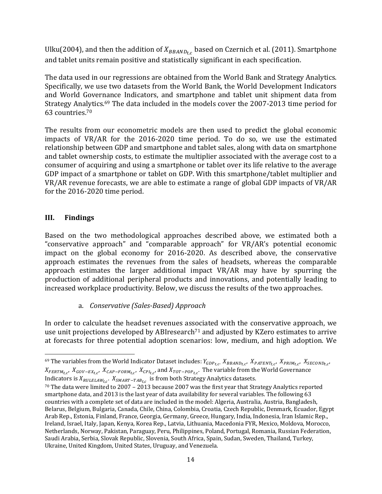Ulku(2004), and then the addition of  $X_{BBAND_{t,c}}$  based on Czernich et al. (2011). Smartphone and tablet units remain positive and statistically significant in each specification.

The data used in our regressions are obtained from the World Bank and Strategy Analytics. Specifically, we use two datasets from the World Bank, the World Development Indicators and World Governance Indicators, and smartphone and tablet unit shipment data from Strategy Analytics.<sup>69</sup> The data included in the models cover the  $2007-2013$  time period for 63 countries.70

The results from our econometric models are then used to predict the global economic impacts of VR/AR for the  $2016-2020$  time period. To do so, we use the estimated relationship between GDP and smartphone and tablet sales, along with data on smartphone and tablet ownership costs, to estimate the multiplier associated with the average cost to a consumer of acquiring and using a smartphone or tablet over its life relative to the average GDP impact of a smartphone or tablet on GDP. With this smartphone/tablet multiplier and  $VR/AR$  revenue forecasts, we are able to estimate a range of global GDP impacts of  $VR/AR$ for the  $2016 - 2020$  time period.

# **III. Findings**

Based on the two methodological approaches described above, we estimated both a "conservative approach" and "comparable approach" for VR/AR's potential economic impact on the global economy for 2016-2020. As described above, the conservative approach estimates the revenues from the sales of headsets, whereas the comparable approach estimates the larger additional impact VR/AR may have by spurring the production of additional peripheral products and innovations, and potentially leading to increased workplace productivity. Below, we discuss the results of the two approaches.

# a. *Conservative (Sales‐Based) Approach*

In order to calculate the headset revenues associated with the conservative approach, we use unit projections developed by ABIresearch<sup>71</sup> and adjusted by KZero estimates to arrive at forecasts for three potential adoption scenarios: low, medium, and high adoption. We

 69 The variables from the World Indicator Dataset includes:  $Y_{GDP_{t,C'}}$ ,  $X_{BBAND_{t,C'}}$ ,  $X_{PATENT_{t,C'}}$ ,  $X_{PRIM_{t,C'}}$ ,  $X_{SECOND_{t,C'}}$  $X_{FERTM_{t,c}}, X_{GOV-EX_{t,c}}, X_{CAP-FORM_{t,c}}, X_{CPI_{t,c}},$  and  $X_{TOT-POP_{t,c}}$ . The variable from the World Governance Indicators is  $X_{RUELAW_{tc}}$ .  $X_{SMART-TAB_{tc}}$  is from both Strategy Analytics datasets.

<sup>&</sup>lt;sup>70</sup> The data were limited to 2007 – 2013 because 2007 was the first year that Strategy Analytics reported smartphone data, and 2013 is the last year of data availability for several variables. The following 63 countries with a complete set of data are included in the model: Algeria, Australia, Austria, Bangladesh, Belarus, Belgium, Bulgaria, Canada, Chile, China, Colombia, Croatia, Czech Republic, Denmark, Ecuador, Egypt Arab Rep., Estonia, Finland, France, Georgia, Germany, Greece, Hungary, India, Indonesia, Iran Islamic Rep., Ireland, Israel, Italy, Japan, Kenya, Korea Rep., Latvia, Lithuania, Macedonia FYR, Mexico, Moldova, Morocco, Netherlands, Norway, Pakistan, Paraguay, Peru, Philippines, Poland, Portugal, Romania, Russian Federation, Saudi Arabia, Serbia, Slovak Republic, Slovenia, South Africa, Spain, Sudan, Sweden, Thailand, Turkey, Ukraine, United Kingdom, United States, Uruguay, and Venezuela.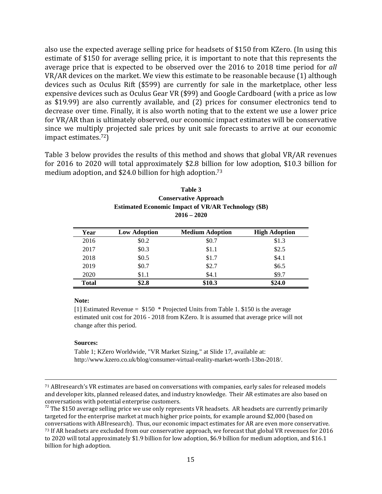also use the expected average selling price for headsets of \$150 from KZero. (In using this estimate of \$150 for average selling price, it is important to note that this represents the average price that is expected to be observed over the 2016 to 2018 time period for *all* VR/AR devices on the market. We view this estimate to be reasonable because (1) although devices such as Oculus Rift (\$599) are currently for sale in the marketplace, other less expensive devices such as Oculus Gear VR (\$99) and Google Cardboard (with a price as low as \$19.99) are also currently available, and (2) prices for consumer electronics tend to decrease over time. Finally, it is also worth noting that to the extent we use a lower price for VR/AR than is ultimately observed, our economic impact estimates will be conservative since we multiply projected sale prices by unit sale forecasts to arrive at our economic impact estimates. $72$ 

Table 3 below provides the results of this method and shows that global VR/AR revenues for 2016 to 2020 will total approximately \$2.8 billion for low adoption, \$10.3 billion for medium adoption, and  $$24.0$  billion for high adoption.<sup>73</sup>

| Table 3                                                    |  |  |  |  |
|------------------------------------------------------------|--|--|--|--|
| <b>Conservative Approach</b>                               |  |  |  |  |
| <b>Estimated Economic Impact of VR/AR Technology (\$B)</b> |  |  |  |  |
| $2016 - 2020$                                              |  |  |  |  |

| Year         | <b>Low Adoption</b> | <b>Medium Adoption</b> | <b>High Adoption</b> |
|--------------|---------------------|------------------------|----------------------|
| 2016         | \$0.2               | \$0.7                  | \$1.3                |
| 2017         | \$0.3               | \$1.1                  | \$2.5                |
| 2018         | \$0.5               | \$1.7                  | \$4.1                |
| 2019         | \$0.7               | \$2.7                  | \$6.5                |
| 2020         | \$1.1               | \$4.1                  | \$9.7                |
| <b>Total</b> | \$2.8               | \$10.3                 | \$24.0               |

#### **Note:**

[1] Estimated Revenue = \$150 \* Projected Units from Table 1. \$150 is the average estimated unit cost for 2016 - 2018 from KZero. It is assumed that average price will not change after this period.

#### **Sources:**

Table 1; KZero Worldwide, "VR Market Sizing," at Slide 17, available at: http://www.kzero.co.uk/blog/consumer-virtual-reality-market-worth-13bn-2018/.

<u> 1989 - Johann Stoff, fransk politik (d. 1989)</u>

 $72$  The \$150 average selling price we use only represents VR headsets. AR headsets are currently primarily targeted for the enterprise market at much higher price points, for example around \$2,000 (based on conversations with ABIresearch). Thus, our economic impact estimates for AR are even more conservative. <sup>73</sup> If AR headsets are excluded from our conservative approach, we forecast that global VR revenues for 2016 to 2020 will total approximately \$1.9 billion for low adoption, \$6.9 billion for medium adoption, and \$16.1 billion for high adoption.

<sup>&</sup>lt;sup>71</sup> ABIresearch's VR estimates are based on conversations with companies, early sales for released models and developer kits, planned released dates, and industry knowledge. Their AR estimates are also based on conversations with potential enterprise customers.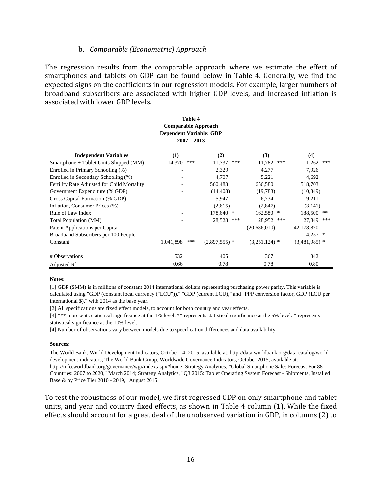### b. *Comparable (Econometric) Approach*

The regression results from the comparable approach where we estimate the effect of smartphones and tablets on GDP can be found below in Table 4. Generally, we find the expected signs on the coefficients in our regression models. For example, larger numbers of broadband subscribers are associated with higher GDP levels, and increased inflation is associated with lower GDP levels.

**Table 4**

| таріс 4<br><b>Comparable Approach</b><br><b>Dependent Variable: GDP</b><br>$2007 - 2013$ |                  |                 |                 |                 |
|------------------------------------------------------------------------------------------|------------------|-----------------|-----------------|-----------------|
| <b>Independent Variables</b>                                                             | $\bf(1)$         | (2)             | (3)             | (4)             |
| Smartphone + Tablet Units Shipped (MM)                                                   | ***<br>14,370    | ***<br>11,737   | 11,782<br>***   | ***<br>11,262   |
| Enrolled in Primary Schooling (%)                                                        |                  | 2,329           | 4,277           | 7,926           |
| Enrolled in Secondary Schooling (%)                                                      |                  | 4,707           | 5,221           | 4,692           |
| Fertility Rate Adjusted for Child Mortality                                              |                  | 560,483         | 656,580         | 518,703         |
| Government Expenditure (% GDP)                                                           |                  | (14, 408)       | (19,783)        | (10, 349)       |
| Gross Capital Formation (% GDP)                                                          |                  | 5,947           | 6,734           | 9,211           |
| Inflation, Consumer Prices (%)                                                           |                  | (2,615)         | (2,847)         | (3,141)         |
| Rule of Law Index                                                                        |                  | 178,640 *       | 162,580 *       | 188,500<br>**   |
| Total Population (MM)                                                                    |                  | 28,528<br>***   | 28,952<br>***   | ***<br>27,849   |
| Patent Applications per Capita                                                           |                  |                 | (20, 686, 010)  | 42,178,820      |
| Broadband Subscribers per 100 People                                                     |                  |                 |                 | $14,257$ *      |
| Constant                                                                                 | 1,041,898<br>*** | $(2,897,555)$ * | $(3,251,124)$ * | $(3,481,985)$ * |
| # Observations                                                                           | 532              | 405             | 367             | 342             |
| Adjusted $R^2$                                                                           | 0.66             | 0.78            | 0.78            | 0.80            |

#### **Notes:**

[1] GDP (\$MM) is in millions of constant 2014 international dollars representing purchasing power parity. This variable is calculated using "GDP (constant local currency ("LCU"))," "GDP (current LCU)," and "PPP conversion factor, GDP (LCU per international \$)," with 2014 as the base year.

[2] All specifications are fixed effect models, to account for both country and year effects.

[3] \*\*\* represents statistical significance at the 1% level. \*\* represents statistical significance at the 5% level. \* represents statistical significance at the 10% level.

[4] Number of observations vary between models due to specification differences and data availability.

#### **Sources:**

The World Bank, World Development Indicators, October 14, 2015, available at: http://data.worldbank.org/data-catalog/worlddevelopment-indicators; The World Bank Group, Worldwide Governance Indicators, October 2015, available at: http://info.worldbank.org/governance/wgi/index.aspx#home; Strategy Analytics, "Global Smartphone Sales Forecast For 88 Countries: 2007 to 2020," March 2014; Strategy Analytics, "Q3 2015: Tablet Operating System Forecast - Shipments, Installed Base & by Price Tier 2010 - 2019," August 2015.

To test the robustness of our model, we first regressed GDP on only smartphone and tablet units, and year and country fixed effects, as shown in Table  $4$  column  $(1)$ . While the fixed effects should account for a great deal of the unobserved variation in GDP, in columns (2) to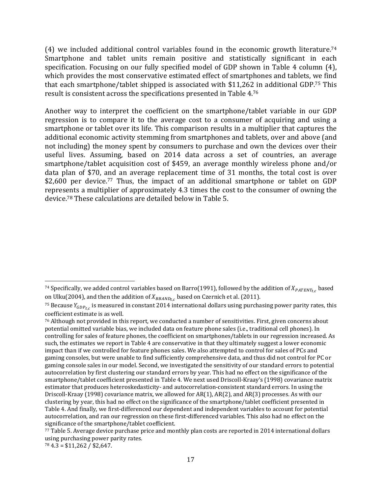(4) we included additional control variables found in the economic growth literature.<sup>74</sup> Smartphone and tablet units remain positive and statistically significant in each specification. Focusing on our fully specified model of GDP shown in Table 4 column  $(4)$ , which provides the most conservative estimated effect of smartphones and tablets, we find that each smartphone/tablet shipped is associated with  $$11,262$  in additional GDP.<sup>75</sup> This result is consistent across the specifications presented in Table 4.76

Another way to interpret the coefficient on the smartphone/tablet variable in our GDP regression is to compare it to the average cost to a consumer of acquiring and using a smartphone or tablet over its life. This comparison results in a multiplier that captures the additional economic activity stemming from smartphones and tablets, over and above (and not including) the money spent by consumers to purchase and own the devices over their useful lives. Assuming, based on 2014 data across a set of countries, an average smartphone/tablet acquisition cost of \$459, an average monthly wireless phone and/or data plan of \$70, and an average replacement time of 31 months, the total cost is over \$2,600 per device.<sup>77</sup> Thus, the impact of an additional smartphone or tablet on GDP represents a multiplier of approximately 4.3 times the cost to the consumer of owning the device.<sup>78</sup> These calculations are detailed below in Table 5.

 <sup>74</sup> Specifically, we added control variables based on Barro(1991), followed by the addition of  $X_{PATENT_{t,c}}$  based on Ulku(2004), and then the addition of  $X_{BBAND_{tc}}$  based on Czernich et al. (2011).

<sup>&</sup>lt;sup>75</sup> Because  $Y_{GDP_{tc}}$  is measured in constant 2014 international dollars using purchasing power parity rates, this coefficient estimate is as well.

 $76$  Although not provided in this report, we conducted a number of sensitivities. First, given concerns about potential omitted variable bias, we included data on feature phone sales (i.e., traditional cell phones). In controlling for sales of feature phones, the coefficient on smartphones/tablets in our regression increased. As such, the estimates we report in Table 4 are conservative in that they ultimately suggest a lower economic impact than if we controlled for feature phones sales. We also attempted to control for sales of PCs and gaming consoles, but were unable to find sufficiently comprehensive data, and thus did not control for PC or gaming console sales in our model. Second, we investigated the sensitivity of our standard errors to potential autocorrelation by first clustering our standard errors by year. This had no effect on the significance of the smartphone/tablet coefficient presented in Table 4. We next used Driscoll-Kraay's (1998) covariance matrix estimator that produces heteroskedasticity- and autocorrelation-consistent standard errors. In using the Driscoll-Kraay (1998) covariance matrix, we allowed for  $AR(1)$ ,  $AR(2)$ , and  $AR(3)$  processes. As with our clustering by year, this had no effect on the significance of the smartphone/tablet coefficient presented in Table 4. And finally, we first-differenced our dependent and independent variables to account for potential autocorrelation, and ran our regression on these first-differenced variables. This also had no effect on the significance of the smartphone/tablet coefficient.

<sup>77</sup> Table 5. Average device purchase price and monthly plan costs are reported in 2014 international dollars using purchasing power parity rates.

 $78$  4.3 = \$11,262 / \$2,647.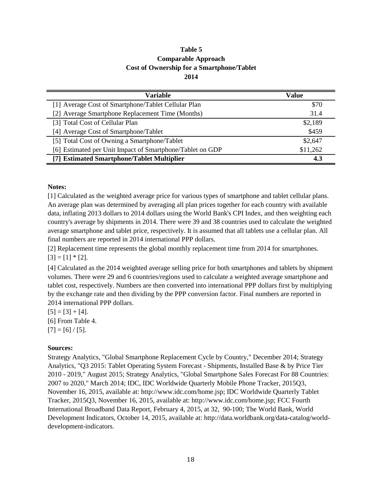## **Table 5 Comparable Approach Cost of Ownership for a Smartphone/Tablet 2014**

| <b>Variable</b>                                           | Value    |  |
|-----------------------------------------------------------|----------|--|
| [1] Average Cost of Smartphone/Tablet Cellular Plan       | \$70     |  |
| [2] Average Smartphone Replacement Time (Months)          | 31.4     |  |
| [3] Total Cost of Cellular Plan                           | \$2,189  |  |
| [4] Average Cost of Smartphone/Tablet                     | \$459    |  |
| [5] Total Cost of Owning a Smartphone/Tablet              | \$2,647  |  |
| [6] Estimated per Unit Impact of Smartphone/Tablet on GDP | \$11,262 |  |
| [7] Estimated Smartphone/Tablet Multiplier                | 4.3      |  |

### **Notes:**

[1] Calculated as the weighted average price for various types of smartphone and tablet cellular plans. An average plan was determined by averaging all plan prices together for each country with available data, inflating 2013 dollars to 2014 dollars using the World Bank's CPI Index, and then weighting each country's average by shipments in 2014. There were 39 and 38 countries used to calculate the weighted average smartphone and tablet price, respectively. It is assumed that all tablets use a cellular plan. All final numbers are reported in 2014 international PPP dollars.

 $[3] = [1] * [2].$ [2] Replacement time represents the global monthly replacement time from 2014 for smartphones.

[4] Calculated as the 2014 weighted average selling price for both smartphones and tablets by shipment volumes. There were 29 and 6 countries/regions used to calculate a weighted average smartphone and tablet cost, respectively. Numbers are then converted into international PPP dollars first by multiplying by the exchange rate and then dividing by the PPP conversion factor. Final numbers are reported in 2014 international PPP dollars.

 $[5] = [3] + [4].$ [6] From Table 4.  $[7] = [6]/[5]$ .

### **Sources:**

Strategy Analytics, "Global Smartphone Replacement Cycle by Country," December 2014; Strategy Analytics, "Q3 2015: Tablet Operating System Forecast - Shipments, Installed Base & by Price Tier 2010 - 2019," August 2015; Strategy Analytics, "Global Smartphone Sales Forecast For 88 Countries: 2007 to 2020," March 2014; IDC, IDC Worldwide Quarterly Mobile Phone Tracker, 2015Q3, November 16, 2015, available at: http://www.idc.com/home.jsp; IDC Worldwide Quarterly Tablet Tracker, 2015Q3, November 16, 2015, available at: http://www.idc.com/home.jsp; FCC Fourth International Broadband Data Report, February 4, 2015, at 32, 90-100; The World Bank, World Development Indicators, October 14, 2015, available at: http://data.worldbank.org/data-catalog/worlddevelopment-indicators.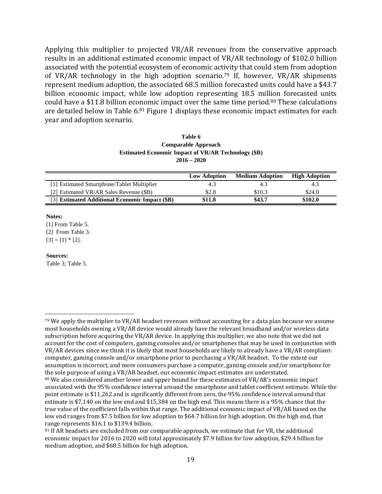Applying this multiplier to projected VR/AR revenues from the conservative approach results in an additional estimated economic impact of VR/AR technology of \$102.0 billion associated with the potential ecosystem of economic activity that could stem from adoption of VR/AR technology in the high adoption scenario.<sup>79</sup> If, however, VR/AR shipments represent medium adoption, the associated 68.5 million forecasted units could have a \$43.7 billion economic impact, while low adoption representing 18.5 million forecasted units could have a \$11.8 billion economic impact over the same time period.<sup>80</sup> These calculations are detailed below in Table  $6^{81}$  Figure 1 displays these economic impact estimates for each year and adoption scenario.

| Table 6                                                    |
|------------------------------------------------------------|
| Comparable Approach                                        |
| <b>Estimated Economic Impact of VR/AR Technology (\$B)</b> |
| $2016 - 2020$                                              |

|                                                | <b>Low Adoption</b> | <b>Medium Adoption</b> | <b>High Adoption</b> |
|------------------------------------------------|---------------------|------------------------|----------------------|
| [1] Estimated Smartphone/Tablet Multiplier     | 4.3                 | 4.3                    | 4.3                  |
| [2] Estimated VR/AR Sales Revenue (\$B)        | \$2.8               | \$10.3                 | \$24.0               |
| [3] Estimated Additional Economic Impact (\$B) | \$11.8              | \$43.7                 | \$102.0              |

### **Notes:**

[1] From Table 5. [2] From Table 3.  $[3] = [1] * [2].$ 

#### **Sources:**

Table 3; Table 5.

 $79$  We apply the multiplier to VR/AR headset revenues without accounting for a data plan because we assume most households owning a VR/AR device would already have the relevant broadband and/or wireless data subscription before acquiring the VR/AR device. In applying this multiplier, we also note that we did not account for the cost of computers, gaming consoles and/or smartphones that may be used in conjunction with VR/AR devices since we think it is likely that most households are likely to already have a VR/AR compliantcomputer, gaming console and/or smartphone prior to purchasing a  $VR/AR$  headset. To the extent our assumption is incorrect, and more consumers purchase a computer, gaming console and/or smartphone for the sole purpose of using a VR/AR headset, our economic impact estimates are understated.

<sup>80</sup> We also considered another lower and upper bound for these estimates of VR/AR's economic impact associated with the 95% confidence interval around the smartphone and tablet coefficient estimate. While the point estimate is \$11,262 and is significantly different from zero, the 95% confidence interval around that estimate is \$7,140 on the low end and \$15,384 on the high end. This means there is a 95% chance that the true value of the coefficient falls within that range. The additional economic impact of VR/AR based on the low end ranges from \$7.5 billion for low adoption to \$64.7 billion for high adoption. On the high end, that range represents \$16.1 to \$139.4 billion.

 $81$  If AR headsets are excluded from our comparable approach, we estimate that for VR, the additional economic impact for 2016 to 2020 will total approximately \$7.9 billion for low adoption, \$29.4 billion for medium adoption, and \$68.5 billion for high adoption.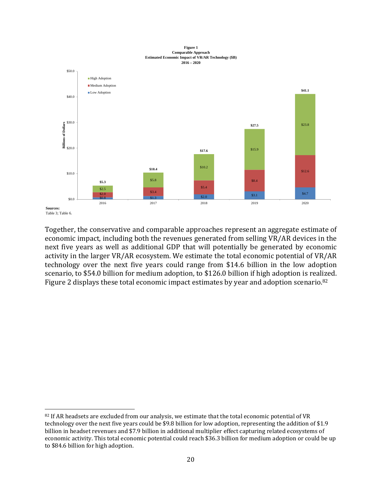



Table 3; Table 6.

Together, the conservative and comparable approaches represent an aggregate estimate of economic impact, including both the revenues generated from selling VR/AR devices in the next five years as well as additional GDP that will potentially be generated by economic activity in the larger VR/AR ecosystem. We estimate the total economic potential of VR/AR technology over the next five years could range from \$14.6 billion in the low adoption scenario, to \$54.0 billion for medium adoption, to \$126.0 billion if high adoption is realized. Figure 2 displays these total economic impact estimates by year and adoption scenario.<sup>82</sup>

<sup>82</sup> If AR headsets are excluded from our analysis, we estimate that the total economic potential of VR technology over the next five years could be \$9.8 billion for low adoption, representing the addition of \$1.9 billion in headset revenues and \$7.9 billion in additional multiplier effect capturing related ecosystems of economic activity. This total economic potential could reach \$36.3 billion for medium adoption or could be up to \$84.6 billion for high adoption.